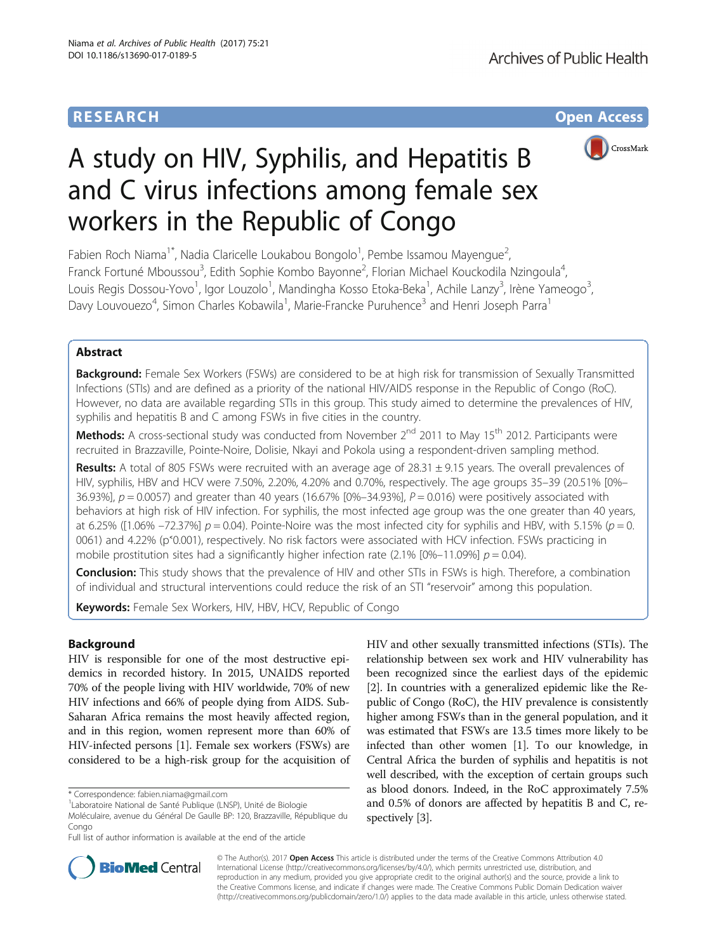# **RESEARCH CHE Open Access**



# A study on HIV, Syphilis, and Hepatitis B and C virus infections among female sex workers in the Republic of Congo

Fabien Roch Niama<sup>1\*</sup>, Nadia Claricelle Loukabou Bongolo<sup>1</sup>, Pembe Issamou Mayengue<sup>2</sup> , Franck Fortuné Mboussou<sup>3</sup>, Edith Sophie Kombo Bayonne<sup>2</sup>, Florian Michael Kouckodila Nzingoula<sup>4</sup> , Louis Regis Dossou-Yovo<sup>1</sup>, Igor Louzolo<sup>1</sup>, Mandingha Kosso Etoka-Beka<sup>1</sup>, Achile Lanzy<sup>3</sup>, Irène Yameogo<sup>3</sup> , Davy Louvouezo<sup>4</sup>, Simon Charles Kobawila<sup>1</sup>, Marie-Francke Puruhence<sup>3</sup> and Henri Joseph Parra<sup>1</sup>

# Abstract

Background: Female Sex Workers (FSWs) are considered to be at high risk for transmission of Sexually Transmitted Infections (STIs) and are defined as a priority of the national HIV/AIDS response in the Republic of Congo (RoC). However, no data are available regarding STIs in this group. This study aimed to determine the prevalences of HIV, syphilis and hepatitis B and C among FSWs in five cities in the country.

Methods: A cross-sectional study was conducted from November 2<sup>nd</sup> 2011 to May 15<sup>th</sup> 2012. Participants were recruited in Brazzaville, Pointe-Noire, Dolisie, Nkayi and Pokola using a respondent-driven sampling method.

Results: A total of 805 FSWs were recruited with an average age of 28.31  $\pm$  9.15 years. The overall prevalences of HIV, syphilis, HBV and HCV were 7.50%, 2.20%, 4.20% and 0.70%, respectively. The age groups 35–39 (20.51% [0%– 36.93%],  $p = 0.0057$ ) and greater than 40 years (16.67% [0%–34.93%],  $P = 0.016$ ) were positively associated with behaviors at high risk of HIV infection. For syphilis, the most infected age group was the one greater than 40 years, at 6.25% ([1.06% –72.37%]  $p = 0.04$ ). Pointe-Noire was the most infected city for syphilis and HBV, with 5.15% ( $p = 0$ . 0061) and 4.22% (p˂0.001), respectively. No risk factors were associated with HCV infection. FSWs practicing in mobile prostitution sites had a significantly higher infection rate (2.1%  $[0\% -11.09\%] p = 0.04$ ).

**Conclusion:** This study shows that the prevalence of HIV and other STIs in FSWs is high. Therefore, a combination of individual and structural interventions could reduce the risk of an STI "reservoir" among this population.

Keywords: Female Sex Workers, HIV, HBV, HCV, Republic of Congo

# Background

HIV is responsible for one of the most destructive epidemics in recorded history. In 2015, UNAIDS reported 70% of the people living with HIV worldwide, 70% of new HIV infections and 66% of people dying from AIDS. Sub-Saharan Africa remains the most heavily affected region, and in this region, women represent more than 60% of HIV-infected persons [\[1](#page-6-0)]. Female sex workers (FSWs) are considered to be a high-risk group for the acquisition of

HIV and other sexually transmitted infections (STIs). The relationship between sex work and HIV vulnerability has been recognized since the earliest days of the epidemic [[2\]](#page-6-0). In countries with a generalized epidemic like the Republic of Congo (RoC), the HIV prevalence is consistently higher among FSWs than in the general population, and it was estimated that FSWs are 13.5 times more likely to be infected than other women [\[1](#page-6-0)]. To our knowledge, in Central Africa the burden of syphilis and hepatitis is not well described, with the exception of certain groups such as blood donors. Indeed, in the RoC approximately 7.5% and 0.5% of donors are affected by hepatitis B and C, respectively [\[3\]](#page-6-0).



© The Author(s). 2017 **Open Access** This article is distributed under the terms of the Creative Commons Attribution 4.0 International License [\(http://creativecommons.org/licenses/by/4.0/](http://creativecommons.org/licenses/by/4.0/)), which permits unrestricted use, distribution, and reproduction in any medium, provided you give appropriate credit to the original author(s) and the source, provide a link to the Creative Commons license, and indicate if changes were made. The Creative Commons Public Domain Dedication waiver [\(http://creativecommons.org/publicdomain/zero/1.0/](http://creativecommons.org/publicdomain/zero/1.0/)) applies to the data made available in this article, unless otherwise stated.

<sup>\*</sup> Correspondence: [fabien.niama@gmail.com](mailto:fabien.niama@gmail.com) <sup>1</sup>

Laboratoire National de Santé Publique (LNSP), Unité de Biologie

Moléculaire, avenue du Général De Gaulle BP: 120, Brazzaville, République du Congo

Full list of author information is available at the end of the article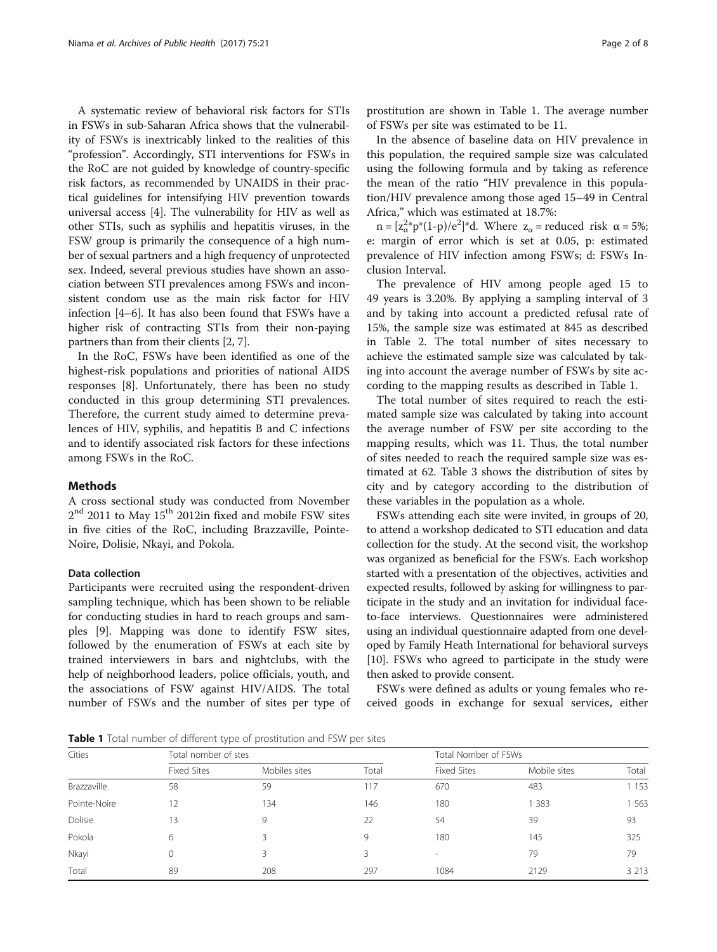A systematic review of behavioral risk factors for STIs in FSWs in sub-Saharan Africa shows that the vulnerability of FSWs is inextricably linked to the realities of this "profession". Accordingly, STI interventions for FSWs in the RoC are not guided by knowledge of country-specific risk factors, as recommended by UNAIDS in their practical guidelines for intensifying HIV prevention towards universal access [[4\]](#page-6-0). The vulnerability for HIV as well as other STIs, such as syphilis and hepatitis viruses, in the FSW group is primarily the consequence of a high number of sexual partners and a high frequency of unprotected sex. Indeed, several previous studies have shown an association between STI prevalences among FSWs and inconsistent condom use as the main risk factor for HIV infection [[4](#page-6-0)–[6](#page-6-0)]. It has also been found that FSWs have a higher risk of contracting STIs from their non-paying partners than from their clients [[2, 7](#page-6-0)].

In the RoC, FSWs have been identified as one of the highest-risk populations and priorities of national AIDS responses [\[8](#page-6-0)]. Unfortunately, there has been no study conducted in this group determining STI prevalences. Therefore, the current study aimed to determine prevalences of HIV, syphilis, and hepatitis B and C infections and to identify associated risk factors for these infections among FSWs in the RoC.

# Methods

A cross sectional study was conducted from November  $2^{\rm nd}$  2011 to May 15<sup>th</sup> 2012in fixed and mobile FSW sites in five cities of the RoC, including Brazzaville, Pointe-Noire, Dolisie, Nkayi, and Pokola.

## Data collection

Participants were recruited using the respondent-driven sampling technique, which has been shown to be reliable for conducting studies in hard to reach groups and samples [[9](#page-7-0)]. Mapping was done to identify FSW sites, followed by the enumeration of FSWs at each site by trained interviewers in bars and nightclubs, with the help of neighborhood leaders, police officials, youth, and the associations of FSW against HIV/AIDS. The total number of FSWs and the number of sites per type of prostitution are shown in Table 1. The average number of FSWs per site was estimated to be 11.

In the absence of baseline data on HIV prevalence in this population, the required sample size was calculated using the following formula and by taking as reference the mean of the ratio "HIV prevalence in this population/HIV prevalence among those aged 15–49 in Central Africa," which was estimated at 18.7%:

 $n = [z_\alpha^2 p^*(1-p)/e^2]^*$ d. Where  $z_\alpha$  = reduced risk  $\alpha = 5\%$ ; e: margin of error which is set at 0.05, p: estimated prevalence of HIV infection among FSWs; d: FSWs Inclusion Interval.

The prevalence of HIV among people aged 15 to 49 years is 3.20%. By applying a sampling interval of 3 and by taking into account a predicted refusal rate of 15%, the sample size was estimated at 845 as described in Table [2](#page-2-0). The total number of sites necessary to achieve the estimated sample size was calculated by taking into account the average number of FSWs by site according to the mapping results as described in Table 1.

The total number of sites required to reach the estimated sample size was calculated by taking into account the average number of FSW per site according to the mapping results, which was 11. Thus, the total number of sites needed to reach the required sample size was estimated at 62. Table [3](#page-2-0) shows the distribution of sites by city and by category according to the distribution of these variables in the population as a whole.

FSWs attending each site were invited, in groups of 20, to attend a workshop dedicated to STI education and data collection for the study. At the second visit, the workshop was organized as beneficial for the FSWs. Each workshop started with a presentation of the objectives, activities and expected results, followed by asking for willingness to participate in the study and an invitation for individual faceto-face interviews. Questionnaires were administered using an individual questionnaire adapted from one developed by Family Heath International for behavioral surveys [[10](#page-7-0)]. FSWs who agreed to participate in the study were then asked to provide consent.

FSWs were defined as adults or young females who received goods in exchange for sexual services, either

Table 1 Total number of different type of prostitution and FSW per sites

| Cities       | Total nomber of stes |               |       | Total Nomber of FSWs |              |         |
|--------------|----------------------|---------------|-------|----------------------|--------------|---------|
|              | <b>Fixed Sites</b>   | Mobiles sites | Total | <b>Fixed Sites</b>   | Mobile sites | Total   |
| Brazzaville  | 58                   | 59            | 117   | 670                  | 483          | 1 1 5 3 |
| Pointe-Noire | 12                   | 134           | 146   | 180                  | 383          | 563     |
| Dolisie      | 13                   | $\mathsf{Q}$  | 22    | 54                   | 39           | 93      |
| Pokola       | 6                    |               | 9     | 180                  | 145          | 325     |
| Nkayi        |                      |               | 3     | $\sim$               | 79           | 79      |
| Total        | 89                   | 208           | 297   | 1084                 | 2129         | 3 2 1 3 |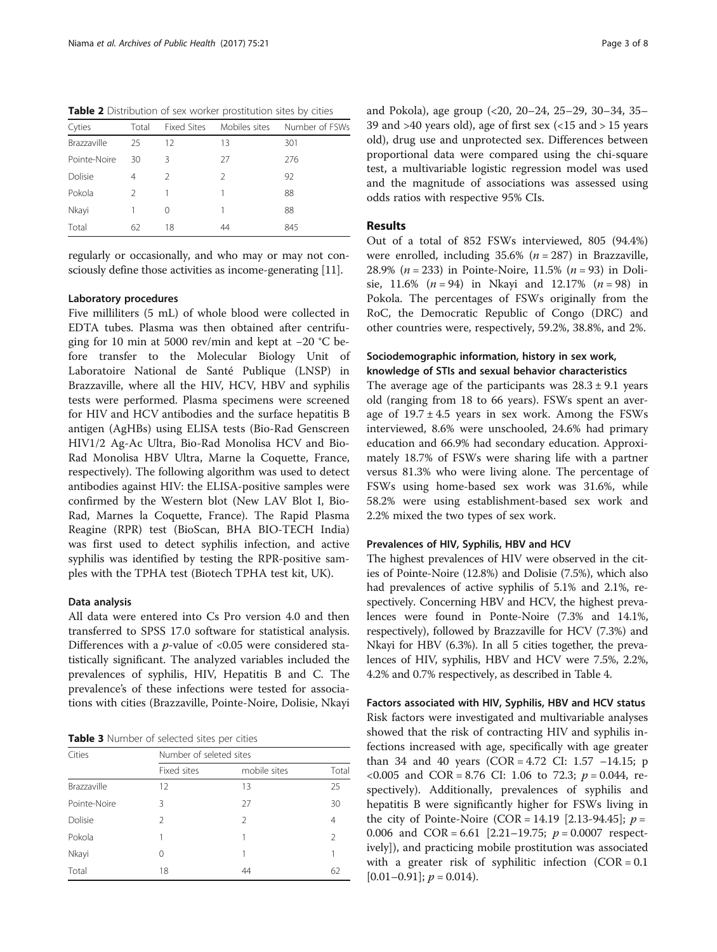<span id="page-2-0"></span>Table 2 Distribution of sex worker prostitution sites by cities

| Cyties       | Total         | <b>Fixed Sites</b> | Mobiles sites | Number of FSWs |
|--------------|---------------|--------------------|---------------|----------------|
| Brazzaville  | 25            | 12                 | 13            | 301            |
| Pointe-Noire | 30            | Β                  | 27            | 276            |
| Dolisie      | 4             |                    | $\mathcal{P}$ | 92             |
| Pokola       | $\mathcal{P}$ |                    |               | 88             |
| Nkayi        |               | 0                  |               | 88             |
| Total        | 62            | 18                 | 44            | 845            |

regularly or occasionally, and who may or may not consciously define those activities as income-generating [\[11\]](#page-7-0).

# Laboratory procedures

Five milliliters (5 mL) of whole blood were collected in EDTA tubes. Plasma was then obtained after centrifuging for 10 min at 5000 rev/min and kept at −20 °C before transfer to the Molecular Biology Unit of Laboratoire National de Santé Publique (LNSP) in Brazzaville, where all the HIV, HCV, HBV and syphilis tests were performed. Plasma specimens were screened for HIV and HCV antibodies and the surface hepatitis B antigen (AgHBs) using ELISA tests (Bio-Rad Genscreen HIV1/2 Ag-Ac Ultra, Bio-Rad Monolisa HCV and Bio-Rad Monolisa HBV Ultra, Marne la Coquette, France, respectively). The following algorithm was used to detect antibodies against HIV: the ELISA-positive samples were confirmed by the Western blot (New LAV Blot I, Bio-Rad, Marnes la Coquette, France). The Rapid Plasma Reagine (RPR) test (BioScan, BHA BIO-TECH India) was first used to detect syphilis infection, and active syphilis was identified by testing the RPR-positive samples with the TPHA test (Biotech TPHA test kit, UK).

# Data analysis

All data were entered into Cs Pro version 4.0 and then transferred to SPSS 17.0 software for statistical analysis. Differences with a  $p$ -value of <0.05 were considered statistically significant. The analyzed variables included the prevalences of syphilis, HIV, Hepatitis B and C. The prevalence's of these infections were tested for associations with cities (Brazzaville, Pointe-Noire, Dolisie, Nkayi

Table 3 Number of selected sites per cities

| Cities       | Number of seleted sites |               |                |
|--------------|-------------------------|---------------|----------------|
|              | Fixed sites             | mobile sites  | Total          |
| Brazzaville  | 12                      | 13            | 25             |
| Pointe-Noire | Β                       | 27            | 30             |
| Dolisie      | $\mathcal{P}$           | $\mathcal{P}$ | $\overline{4}$ |
| Pokola       |                         |               | $\mathcal{P}$  |
| Nkayi        | 0                       |               | 1              |
| Total        | 18                      | 44            | 62             |

and Pokola), age group (<20, 20–24, 25–29, 30–34, 35– 39 and  $>40$  years old), age of first sex ( $<15$  and  $>15$  years old), drug use and unprotected sex. Differences between proportional data were compared using the chi-square test, a multivariable logistic regression model was used and the magnitude of associations was assessed using odds ratios with respective 95% CIs.

# Results

Out of a total of 852 FSWs interviewed, 805 (94.4%) were enrolled, including  $35.6\%$  ( $n = 287$ ) in Brazzaville, 28.9% ( $n = 233$ ) in Pointe-Noire, 11.5% ( $n = 93$ ) in Dolisie, 11.6% ( $n = 94$ ) in Nkayi and 12.17% ( $n = 98$ ) in Pokola. The percentages of FSWs originally from the RoC, the Democratic Republic of Congo (DRC) and other countries were, respectively, 59.2%, 38.8%, and 2%.

# Sociodemographic information, history in sex work, knowledge of STIs and sexual behavior characteristics

The average age of the participants was  $28.3 \pm 9.1$  years old (ranging from 18 to 66 years). FSWs spent an average of  $19.7 \pm 4.5$  years in sex work. Among the FSWs interviewed, 8.6% were unschooled, 24.6% had primary education and 66.9% had secondary education. Approximately 18.7% of FSWs were sharing life with a partner versus 81.3% who were living alone. The percentage of FSWs using home-based sex work was 31.6%, while 58.2% were using establishment-based sex work and 2.2% mixed the two types of sex work.

## Prevalences of HIV, Syphilis, HBV and HCV

The highest prevalences of HIV were observed in the cities of Pointe-Noire (12.8%) and Dolisie (7.5%), which also had prevalences of active syphilis of 5.1% and 2.1%, respectively. Concerning HBV and HCV, the highest prevalences were found in Ponte-Noire (7.3% and 14.1%, respectively), followed by Brazzaville for HCV (7.3%) and Nkayi for HBV (6.3%). In all 5 cities together, the prevalences of HIV, syphilis, HBV and HCV were 7.5%, 2.2%, 4.2% and 0.7% respectively, as described in Table [4](#page-3-0).

#### Factors associated with HIV, Syphilis, HBV and HCV status

Risk factors were investigated and multivariable analyses showed that the risk of contracting HIV and syphilis infections increased with age, specifically with age greater than 34 and 40 years  $(COR = 4.72 \text{ CI: } 1.57 -14.15; \text{ p}$ <0.005 and COR = 8.76 CI: 1.06 to 72.3;  $p = 0.044$ , respectively). Additionally, prevalences of syphilis and hepatitis B were significantly higher for FSWs living in the city of Pointe-Noire (COR = 14.19 [2.13-94.45];  $p =$ 0.006 and  $COR = 6.61$  [2.21–19.75;  $p = 0.0007$  respectively]), and practicing mobile prostitution was associated with a greater risk of syphilitic infection  $(COR = 0.1)$  $[0.01-0.91]$ ;  $p = 0.014$ ).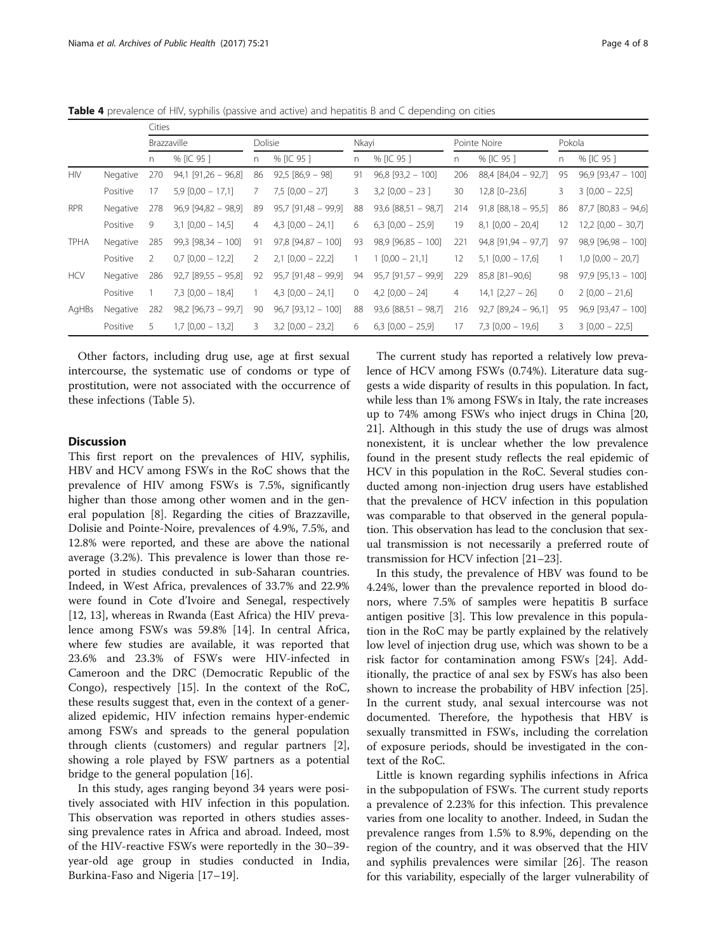<span id="page-3-0"></span>Table 4 prevalence of HIV, syphilis (passive and active) and hepatitis B and C depending on cities

|             |          | Cities |                       |         |                       |       |                       |     |                             |              |                           |
|-------------|----------|--------|-----------------------|---------|-----------------------|-------|-----------------------|-----|-----------------------------|--------------|---------------------------|
|             |          |        | Brazzaville           | Dolisie |                       | Nkayi |                       |     | Pointe Noire                | Pokola       |                           |
|             |          | n      | % [IC 95]             | n       | % [IC 95]             | n     | % [IC 95 ]            | n   | % [IC 95]                   | n            | % [IC 95]                 |
| <b>HIV</b>  | Negative | 270    | $94,1$ [91,26 - 96,8] | 86      | $92,5 [86,9 - 98]$    | 91    | $96,8$ [93,2 - 100]   | 206 | $88,4$ [ $84,04$ - $92,7$ ] | 95           | $96,9$ [93,47 - 100]      |
|             | Positive | 17     | $5.9$ [0,00 - 17,1]   | 7       | $7.5$ [0.00 - 27]     | 3     | $3,2$ [0,00 - 23]     | 30  | 12,8 [0-23,6]               | 3            | $3 [0,00 - 22,5]$         |
| <b>RPR</b>  | Negative | 278    | $96.9$ [94,82 - 98,9] | 89      | $95.7$ [91,48 - 99,9] | 88    | $93,6$ [88,51 - 98,7] | 214 | $91,8$ [88,18 - 95,5]       | 86           | $87,7$ [ $80,83 - 94,6$ ] |
|             | Positive | 9      | $3,1$ [0,00 - 14,5]   | 4       | $4,3$ [0,00 - 24,1]   | 6     | $6,3$ [0,00 - 25,9]   | 19  | $8,1$ [0,00 - 20,4]         | 12           | $12,2$ [0,00 - 30,7]      |
| <b>TPHA</b> | Negative | 285    | $99,3$ [98,34 - 100]  | 91      | $97,8$ [94,87 - 100]  | 93    | $98.9$ [96.85 - 100]  | 221 | $94,8$ [91,94 - 97,7]       | 97           | $98.9$ [96.98 - 100]      |
|             | Positive | 2      | $0.7$ $[0.00 - 12.2]$ | 2       | $2,1$ [0,00 - 22,2]   |       | $1 [0,00 - 21,1]$     | 12  | $5,1$ [0,00 - 17,6]         |              | $1,0$ [0,00 - 20,7]       |
| <b>HCV</b>  | Negative | 286    | $92,7$ [89,55 - 95,8] | 92      | $95,7$ [91,48 - 99,9] | 94    | $95,7$ [91,57 - 99,9] | 229 | 85,8 [81-90,6]              | 98           | $97.9$ [95.13 - 100]      |
|             | Positive |        | $7,3$ [0,00 - 18,4]   | 1       | $4,3$ [0,00 - 24,1]   | 0     | $4,2$ [0,00 - 24]     | 4   | $14,1$ $[2,27 - 26]$        | $\mathbf{0}$ | $2 [0,00 - 21,6]$         |
| AgHBs       | Negative | 282    | $98,2$ [96,73 - 99,7] | 90      | $96.7$ [93,12 - 100]  | 88    | $93,6$ [88,51 - 98,7] | 216 | $92,7$ [89,24 - 96,1]       | 95           | $96.9$ [93,47 - 100]      |
|             | Positive | 5.     | $1,7$ [0,00 - 13,2]   | 3       | $3,2$ [0,00 - 23,2]   | 6     | $6,3$ [0,00 - 25,9]   | 17  | $7,3$ [0,00 - 19,6]         | 3            | $3 [0,00 - 22,5]$         |

Other factors, including drug use, age at first sexual intercourse, the systematic use of condoms or type of prostitution, were not associated with the occurrence of these infections (Table [5\)](#page-4-0).

# **Discussion**

This first report on the prevalences of HIV, syphilis, HBV and HCV among FSWs in the RoC shows that the prevalence of HIV among FSWs is 7.5%, significantly higher than those among other women and in the general population [\[8](#page-6-0)]. Regarding the cities of Brazzaville, Dolisie and Pointe-Noire, prevalences of 4.9%, 7.5%, and 12.8% were reported, and these are above the national average (3.2%). This prevalence is lower than those reported in studies conducted in sub-Saharan countries. Indeed, in West Africa, prevalences of 33.7% and 22.9% were found in Cote d'Ivoire and Senegal, respectively [[12, 13\]](#page-7-0), whereas in Rwanda (East Africa) the HIV prevalence among FSWs was 59.8% [\[14](#page-7-0)]. In central Africa, where few studies are available, it was reported that 23.6% and 23.3% of FSWs were HIV-infected in Cameroon and the DRC (Democratic Republic of the Congo), respectively [\[15](#page-7-0)]. In the context of the RoC, these results suggest that, even in the context of a generalized epidemic, HIV infection remains hyper-endemic among FSWs and spreads to the general population through clients (customers) and regular partners [\[2](#page-6-0)], showing a role played by FSW partners as a potential bridge to the general population [\[16\]](#page-7-0).

In this study, ages ranging beyond 34 years were positively associated with HIV infection in this population. This observation was reported in others studies assessing prevalence rates in Africa and abroad. Indeed, most of the HIV-reactive FSWs were reportedly in the 30–39 year-old age group in studies conducted in India, Burkina-Faso and Nigeria [\[17](#page-7-0)–[19](#page-7-0)].

The current study has reported a relatively low prevalence of HCV among FSWs (0.74%). Literature data suggests a wide disparity of results in this population. In fact, while less than 1% among FSWs in Italy, the rate increases up to 74% among FSWs who inject drugs in China [[20](#page-7-0), [21](#page-7-0)]. Although in this study the use of drugs was almost nonexistent, it is unclear whether the low prevalence found in the present study reflects the real epidemic of HCV in this population in the RoC. Several studies conducted among non-injection drug users have established that the prevalence of HCV infection in this population was comparable to that observed in the general population. This observation has lead to the conclusion that sexual transmission is not necessarily a preferred route of transmission for HCV infection [[21](#page-7-0)–[23\]](#page-7-0).

In this study, the prevalence of HBV was found to be 4.24%, lower than the prevalence reported in blood donors, where 7.5% of samples were hepatitis B surface antigen positive [\[3](#page-6-0)]. This low prevalence in this population in the RoC may be partly explained by the relatively low level of injection drug use, which was shown to be a risk factor for contamination among FSWs [[24\]](#page-7-0). Additionally, the practice of anal sex by FSWs has also been shown to increase the probability of HBV infection [\[25](#page-7-0)]. In the current study, anal sexual intercourse was not documented. Therefore, the hypothesis that HBV is sexually transmitted in FSWs, including the correlation of exposure periods, should be investigated in the context of the RoC.

Little is known regarding syphilis infections in Africa in the subpopulation of FSWs. The current study reports a prevalence of 2.23% for this infection. This prevalence varies from one locality to another. Indeed, in Sudan the prevalence ranges from 1.5% to 8.9%, depending on the region of the country, and it was observed that the HIV and syphilis prevalences were similar [[26\]](#page-7-0). The reason for this variability, especially of the larger vulnerability of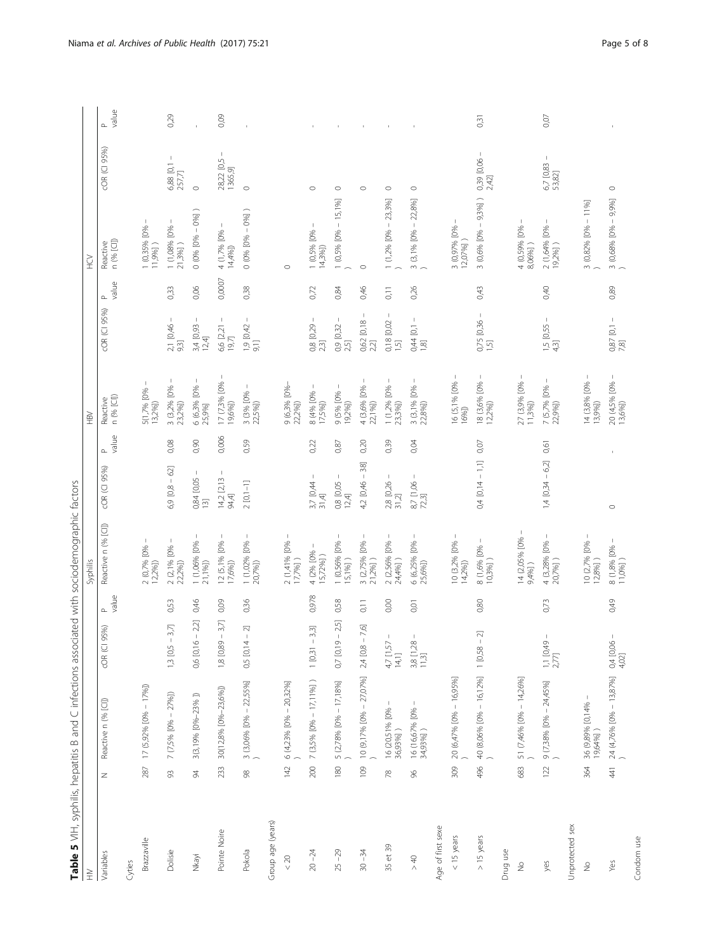| ׇ֖֖֚֚֚֚֚֬֝                      |
|---------------------------------|
|                                 |
|                                 |
|                                 |
|                                 |
|                                 |
|                                 |
|                                 |
|                                 |
| ١                               |
|                                 |
|                                 |
|                                 |
|                                 |
|                                 |
|                                 |
|                                 |
|                                 |
| こうせいせいこう こうこうりょう うらりつ こうりょう ひせこ |
|                                 |
|                                 |
|                                 |
| てんもく                            |
|                                 |
|                                 |
|                                 |
|                                 |
| j                               |
|                                 |
| こうへいしょ りょうこうりょう                 |
|                                 |
|                                 |
|                                 |
|                                 |
|                                 |
|                                 |
| Ì                               |
|                                 |
|                                 |
|                                 |
|                                 |
| I                               |
|                                 |
|                                 |
|                                 |
| ist - 1<br>1<br>1<br>1          |
|                                 |
| $\overline{a}$                  |
|                                 |
|                                 |
| ;<br>;<br>;                     |
|                                 |
|                                 |
|                                 |
| $\ddot{\phantom{a}}$            |
|                                 |
|                                 |
|                                 |
| j                               |
| j                               |
|                                 |
|                                 |
|                                 |
| I alule J<br>l<br>ŀ             |

<span id="page-4-0"></span>

|                          |                                   | Table 5 VIH, syphilis, hepatitis B and C infections associated with sociodemographic factors |                                                            |                                 |                                                                      |                                                   |                 |                                                                                        |                                           |                 |                                            |                           |                 |
|--------------------------|-----------------------------------|----------------------------------------------------------------------------------------------|------------------------------------------------------------|---------------------------------|----------------------------------------------------------------------|---------------------------------------------------|-----------------|----------------------------------------------------------------------------------------|-------------------------------------------|-----------------|--------------------------------------------|---------------------------|-----------------|
| $\geqq$                  |                                   |                                                                                              |                                                            |                                 | Syphilis                                                             |                                                   |                 | $\geq$                                                                                 |                                           |                 | Ğ                                          |                           |                 |
| Variables                | Z                                 | Reactive n (% [C])                                                                           | 95%)<br>COR (CI                                            | value<br>$\mathrel{\mathsf{a}}$ | Reactive n (% [C])                                                   | cOR (CI 95%)                                      | value<br>$\sim$ | n (% [Cl])<br>Reactive                                                                 | COR (CI 95%)                              | value<br>$\sim$ | n (% [Cl])<br>Reactive                     | cOR (CI 95%)              | value<br>$\sim$ |
| Cyties                   |                                   |                                                                                              |                                                            |                                 |                                                                      |                                                   |                 |                                                                                        |                                           |                 |                                            |                           |                 |
| Brazzaville              | 287                               | 17 (5,92% [0% - 17%])                                                                        |                                                            |                                 | $2 (0,7% 10% -$<br>12,2%]                                            |                                                   |                 | 5(1,7% [0%<br>13,2%                                                                    |                                           |                 | 1 (0,35% [0%<br>11,9%])                    |                           |                 |
| Dolisie                  | $\Im$                             | $7 (7,5\% [0\% - 27\%])$                                                                     | 3,7<br>$1,3$ [0,5 -                                        | 0,53                            | $\overline{\phantom{a}}$<br>2 (2,1% [0%<br>22,2%])                   | $6,9$ [0,8 - 62]                                  | 0,08            | $\mathsf{I}$<br>$3$ (3,2% [0% -<br>23,2%])                                             | $\, \cdot \,$<br>2,1 [0,46<br>9,3]        | 0,33            | $\mathbf{I}$<br>1 (1,08% [0% -<br>21,3%] ) | $\mathbb T$<br>6,88 [0,1] | 0,29            |
| Nkayi                    | 94                                | 3(3,19% [0%-23%])                                                                            | $0,6$ [0,16 - 2,2]                                         | 0,46                            | 1 (1,06% [0%<br>21,1%])                                              | 0,84 [0,05 –<br>$\begin{bmatrix} 3 \end{bmatrix}$ | 0,90            | $\,$ $\,$<br>6 (6,3% [0%<br>25,9%]                                                     | $\,$ I<br>3,4 [0,93<br>12,4               | 0,06            | $0(0% [0% - 0%] )$                         | $\circ$                   |                 |
| Pointe Noire             | 233                               | 30(12,8% [0%-23,6%])                                                                         | $3,7$<br>$\mathsf I$<br>1,8 [0,89 -                        | 0,09                            | 12 (5,1% [0% -<br>17,6%])                                            | $\mathsf I$<br>$14,2$ [2,13<br>94,4]              | 0,006           | 17 (7,3% [0% –<br>19,6%])                                                              | $\mathsf I$<br>6,6 [2,21<br>19,7]         | $0,0007$        | $4(1,7%$ [0% –<br>14,4%])                  | 28,22 [0,5 -<br>1365,9]   | 0,09            |
| Pokola                   | $\ensuremath{\mathcal{S}}\xspace$ | $3$ (3,06% [0% - 22,55%]                                                                     | $^{-2}$<br>0,5 [0,14                                       | 0,36                            | -1<br>1 (1,02% [0% -<br>20,7%])                                      | $2[0,1-1]$                                        | 0,59            | 3(3% [0%]<br>22,5%]                                                                    | $\mathsf I$<br>$\frac{1,9}{9,1}$ [0,42 -  | 0,38            | $0(0% [0% - 0%] )$                         | $\circ$                   |                 |
| Group age (years)        |                                   |                                                                                              |                                                            |                                 |                                                                      |                                                   |                 |                                                                                        |                                           |                 |                                            |                           |                 |
| $< 20$                   | 42                                | 6 (4,23% [0% - 20,32%]                                                                       |                                                            |                                 | 2 (1,41% [0% -<br>17,7%] )                                           |                                                   |                 | 9 (6,3% [0%-<br>22,2%])                                                                |                                           |                 | $\circ$                                    |                           |                 |
| $20 - 24$                | 200                               | $7(3,5\% [0\% - 17,11\%] )$                                                                  | 3,3]<br>$\overline{1}$<br>1 [0,31]                         | 0,978                           | п<br>4 (2% [0%<br>15,72%])                                           | $\,$ $\,$<br>$3,7$ [0,44 $-$<br>31,4              | 0,22            | $\mathsf I$<br>$\begin{array}{c} 8 \ (4\% \ [0\% \ -17,5\%] ) \end{array}$             | -1<br>$\frac{0.8}{2.3}$ [0,29 ·           | 0,72            | $1$ (0,5% [0% –<br>14,3%])                 | $\circ$                   |                 |
| $25 - 29$                | 180                               | 5 (2,78% [0% - 17,18%]                                                                       | $0,7$ [0,19 - 2,5]                                         | 0,58                            | $\mathsf I$<br>1 (0,56% [0%<br>15,1%])                               | $\mathsf I$<br>0,8 [0,05<br>12,4                  | 0,87            | 9 (5% [0%<br>19,2%                                                                     | $\mathsf I$<br>0,9 [0,32<br>2,5]          | 0,84            | $1 (0,5\% [0\% - 15,1\%]$                  | $\circ$                   |                 |
| $30 - 34$                | 109                               | $10(9,17\%$ [0% $- 27,07\%$ ]                                                                | $-7,6$<br>2,4 [0,8 -                                       | 0,11                            | 3 (2,75% [0%<br>21,2%])                                              | $4,2$ [0,46 - 38]                                 | 0,20            | $\overline{\phantom{a}}$<br>4 (3,6% [0%<br>22,1%])                                     | $\mathsf{I}$<br>0,62 [0,18<br>2,2]        | 0,46            | $\circ$                                    | $\circ$                   |                 |
| 35 et 39                 | $\approx$                         | 16 (20,51% [0% -<br>36,93%] )                                                                | $\begin{array}{l} 4,7 \ [1,57- \\[-4pt] 14,1] \end{array}$ | 0,00                            | 2 (2,56% [0% -<br>24,4%] )                                           | $\mathsf I$<br>2,8 [0,26<br>31,2                  | 0,39            | $\mathbb{I}$<br>1 (1,2% [0%<br>23,3%])                                                 | $\mathbb{I}$<br>$0,18$ $[0,02]$<br>$1,5]$ | $\overline{C}$  | $1(1,2\% [0\% - 23,3\%]$                   | $\circ$                   |                 |
| > 40                     | 96                                | $\mathbf{I}$<br>16 (16,67% [0% -<br>34,93%] )                                                | $\begin{array}{c} 3,8 & [1,28 \\ 11,3] \end{array}$        | 0,01                            | 6 (6,25% [0% -<br>25,6%])                                            | $\mathsf I$<br>$\frac{87}{723}$ [1,06 -           | 0,04            | $\mathbb{I}$<br>$\begin{array}{c} 3 \;\; (3,1\% \;\; [0\% \; - \; 22,8\%) \end{array}$ | $\mathbb T$<br>0,44 [0,1]<br>1,8]         | 0,26            | $3(3,1\% [0\% - 22,8\%] )$                 | $\circ$                   |                 |
| Age of first sexe        |                                   |                                                                                              |                                                            |                                 |                                                                      |                                                   |                 |                                                                                        |                                           |                 |                                            |                           |                 |
| $<$ 15 years             | 309                               | 20 (6,47% [0% - 16,95%]                                                                      |                                                            |                                 | 10 (3,2% [0% -<br>14,2%])                                            |                                                   |                 | 16 (5,1% [0% -<br>16%])                                                                |                                           |                 | 3 (0,97% [0%<br>12,07%])                   |                           |                 |
| $>15$ years              | 496                               | 40 (8,06% [0% – 16,12%]                                                                      | $-2$<br>1 [0,58]                                           | 0,80                            | $\begin{array}{c} 8(1{,}6\%~[0\% -10{,}3\%]) \end{array}$            | $0,4$ [0,14 - 1,1]                                | 0,07            | 18 (3,6% [0% –<br>12,2%])                                                              | 0,75 [0,36 -<br>$\overline{15}$           | 0,43            | $3(0,6\% [0\% - 9,3\%])$                   | 0,39 [0,06 -<br>2,42]     | 0,31            |
| Drug use                 |                                   |                                                                                              |                                                            |                                 |                                                                      |                                                   |                 |                                                                                        |                                           |                 |                                            |                           |                 |
| $\stackrel{\circ}{\geq}$ | 683                               | 51 (7,46% [0% - 14,26%]                                                                      |                                                            |                                 | 14 (2,05% [0%<br>9,4%])                                              |                                                   |                 | 27 (3,9% [0% -<br>11,3%])                                                              |                                           |                 | 4 (0,59% [0%<br>8,06%])                    |                           |                 |
| yes                      | 122                               | 9 (7,38% $[0\% - 24,45\%]$ )                                                                 | $1,1$ [0,49 –<br>2,77]                                     | 0,73                            | 4 (3,28% [0% -<br>20,7%] )                                           | $1,4$ [0,34 - 6,2]                                | 0,61            | Τ.<br>7 (5,7% [0% -<br>22,9%])                                                         | $1,5$ [0,55 –<br>4,3]                     | 0,40            | 2 (1,64% [0% –<br>19,2%] )                 | 6,7 [0,83 -<br>53,82]     | 0,07            |
| Unprotected sex          |                                   |                                                                                              |                                                            |                                 |                                                                      |                                                   |                 |                                                                                        |                                           |                 |                                            |                           |                 |
| $\stackrel{\circ}{\geq}$ | 364                               | J.<br>36 (9,89% [0,14%<br>19,64%])                                                           |                                                            |                                 | 10 (2,7% [0% -<br>12,8%] )                                           |                                                   |                 | 14 (3,8% [0% -<br>13,9%])                                                              |                                           |                 | 3 (0,82% [0% - 11%]                        |                           |                 |
| Yes                      | $rac{4}{4}$                       | $\frac{24}{1}$ (4,76% [0% - 13,87%]                                                          | $0,4$ [0,06 –<br>4,02]                                     | 0,49                            | $\begin{array}{l} 8 \ (1,8\% \ \text{[O\% - }\\ 11,0\%] \end{array}$ | $\circ$                                           |                 | 20 (4,5% [0% –<br>13,6%])                                                              | $0,87$ [0,1 - 7,8]                        | 0,89            | 3 (0,68% $[0\% - 9,9\%]$                   | $\circ$                   |                 |
| Condom use               |                                   |                                                                                              |                                                            |                                 |                                                                      |                                                   |                 |                                                                                        |                                           |                 |                                            |                           |                 |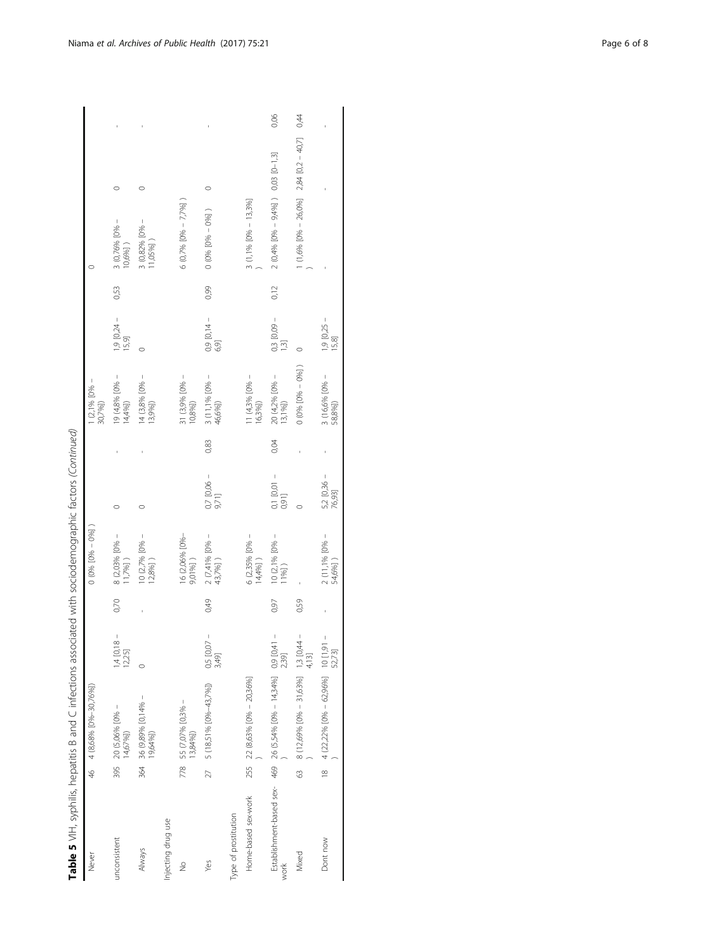| j                          |
|----------------------------|
| J<br>i                     |
| $\frac{1}{2}$              |
|                            |
|                            |
|                            |
| $\overline{\phantom{a}}$   |
| ر                          |
|                            |
|                            |
|                            |
|                            |
|                            |
|                            |
|                            |
|                            |
|                            |
|                            |
| ì<br>J                     |
|                            |
|                            |
| š                          |
|                            |
|                            |
| うりりり                       |
|                            |
|                            |
|                            |
| $\frac{1}{2}$              |
|                            |
|                            |
|                            |
| うりこう こうこう                  |
| í                          |
|                            |
|                            |
|                            |
|                            |
|                            |
|                            |
| .<br>.<br>.<br>.<br>.      |
|                            |
|                            |
|                            |
|                            |
|                            |
|                            |
|                            |
| $\overline{a}$             |
|                            |
| $\frac{1}{2}$              |
|                            |
|                            |
|                            |
| l                          |
| $\frac{1}{2}$              |
| I.                         |
|                            |
|                            |
| $\ddot{\phantom{a}}$<br>I  |
|                            |
|                            |
| ١                          |
|                            |
| :<br>İ                     |
|                            |
|                            |
| l                          |
|                            |
|                            |
| ī                          |
|                            |
| í                          |
| Ó                          |
|                            |
|                            |
| ${1 \over 2}$<br>ŕ<br>֚֚֚֬ |

| Never                |                | 46 4 (8,68% [0%-30,76%])                                        |                         |      | $0(0% [0% - 0%]$                        |                         |      | $1(2,1%$ [O% -<br>30,7%])                   |                                 |      |                                            |      |
|----------------------|----------------|-----------------------------------------------------------------|-------------------------|------|-----------------------------------------|-------------------------|------|---------------------------------------------|---------------------------------|------|--------------------------------------------|------|
| unconsistent         | 395            | 20 (5,06% $[0% -$<br>14,67%])                                   | $1,4$ [0,18 –<br>12,25] | 0,70 | 8 (2,03% [0% -<br>1,7%                  |                         |      | 19 (4,8% [0% -<br>14,4%                     | $1,9$ [0,24 -<br>15,9]          | 0,53 | 3 (0,76% [0% –<br>10,6%] )                 |      |
| Always               | 364            | 36 (9,89% [0,14% -<br>19,64%])                                  | $\circ$                 |      | $10(2,7%10% -$<br>$12,8%$ ]             |                         |      | 14 (3,8% [0% –<br>13,9%                     |                                 |      | $3 (0,82\% [0\% -$<br>11,05%])             |      |
| Injecting drug use   |                |                                                                 |                         |      |                                         |                         |      |                                             |                                 |      |                                            |      |
| $\frac{1}{2}$        |                | 778 55 (7,07% [0,3% –<br>13,84%])                               |                         |      | 16 (2,06% [0%-<br>9,01%])               |                         |      | 31 (3,9% [0% -<br>$10,8%$ ]                 |                                 |      | $6$ (0,7% [0% $-7,7%$ ]                    |      |
| Yes                  | 27             | 5 (18,51% [0%-43,7%])                                           | $0,5$ [0,07 –<br>3,49]  | 0,49 | $2 (7,41\%$ [0% –<br>43,7%])            | $0,7$ [0,06 -<br>9,71]  | 0,83 | $\frac{3 (11,1\% [0\% - 46,6\%])}{46,6\%]}$ | $0,9$ [0,14 -<br>6,9]           | 0,99 | $0 (0% [0% - 0%] )$                        |      |
| Type of prostitution |                |                                                                 |                         |      |                                         |                         |      |                                             |                                 |      |                                            |      |
| Home-based sex-work  |                | 255 22 (8,63% [0% - 20,36%]                                     |                         |      | 6 (2,35% [0% -<br>$14,4%$ ]             |                         |      | $1 (4,3% 10% -$<br>16,3%                    |                                 |      | 3 (1,1% $[0% - 13,3%]$                     |      |
| work                 |                | Establishment-based sex-469 26 (5,54% [0% - 14,34%] 0.9 [0,41 - | 2,39]                   | 0,97 | $10(2,1\%$ [0% -<br>$11%$ $\frac{1}{2}$ | 0,1 [0,01 -<br>0,91]    | 0,04 | 20 (4,2% [0% -<br>13,1%])                   | $0,3$ [0,09 $-$<br>$\left[$ .3] | 0,12 | $2(0,4\% [0\% - 9,4\%] )$ 0,03 [0-1,3]     | 0,06 |
| Mixed                | 63             | 8 (12,69% [0% - 31,63%] 1,3 [0,44 -                             | 4,13]                   | 0,59 |                                         |                         |      | $0.006$ $[0% - 0%]$                         |                                 |      | 1 (1,6% $[0% - 26,0%]$ 2,84 $[0,2 - 40,7]$ | 0,44 |
| Dont now             | $\frac{8}{18}$ | $4(22,22\% [0\% - 62,96\%] 10 [1,9]$                            | 52,73]                  |      | $2(11,1%10% -$<br>54,6%]                | $5,2$ [0,36 –<br>76,93] |      | 3 (16,6% [0% -<br>58,8%])                   | $1,9$ [0,25 -<br>15,8]          |      |                                            |      |
|                      |                |                                                                 |                         |      |                                         |                         |      |                                             |                                 |      |                                            |      |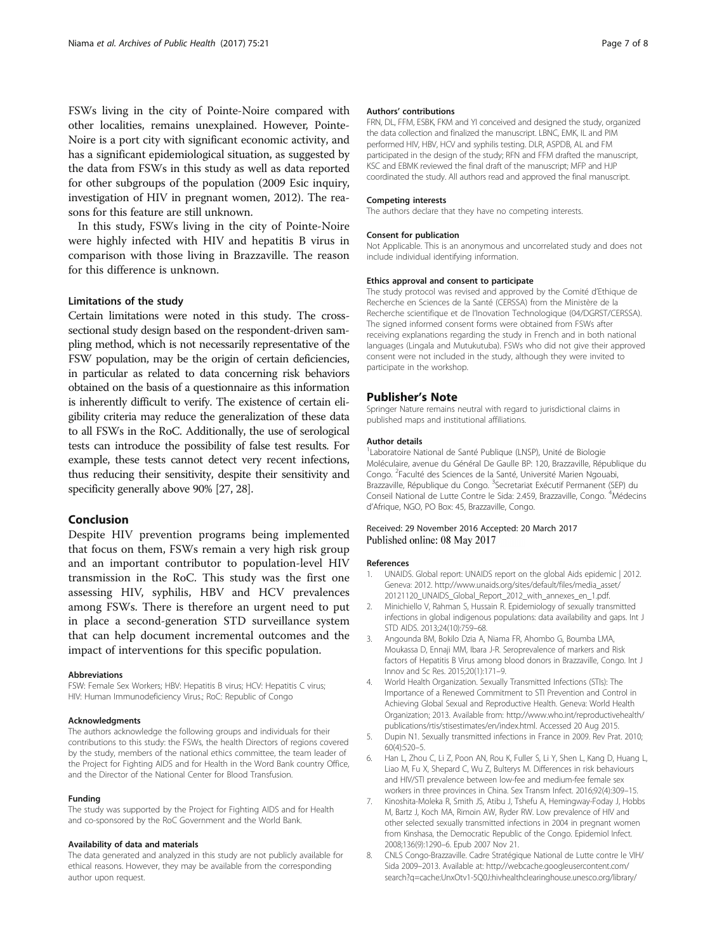<span id="page-6-0"></span>FSWs living in the city of Pointe-Noire compared with other localities, remains unexplained. However, Pointe-Noire is a port city with significant economic activity, and has a significant epidemiological situation, as suggested by the data from FSWs in this study as well as data reported for other subgroups of the population (2009 Esic inquiry, investigation of HIV in pregnant women, 2012). The reasons for this feature are still unknown.

In this study, FSWs living in the city of Pointe-Noire were highly infected with HIV and hepatitis B virus in comparison with those living in Brazzaville. The reason for this difference is unknown.

# Limitations of the study

Certain limitations were noted in this study. The crosssectional study design based on the respondent-driven sampling method, which is not necessarily representative of the FSW population, may be the origin of certain deficiencies, in particular as related to data concerning risk behaviors obtained on the basis of a questionnaire as this information is inherently difficult to verify. The existence of certain eligibility criteria may reduce the generalization of these data to all FSWs in the RoC. Additionally, the use of serological tests can introduce the possibility of false test results. For example, these tests cannot detect very recent infections, thus reducing their sensitivity, despite their sensitivity and specificity generally above 90% [\[27](#page-7-0), [28\]](#page-7-0).

# Conclusion

Despite HIV prevention programs being implemented that focus on them, FSWs remain a very high risk group and an important contributor to population-level HIV transmission in the RoC. This study was the first one assessing HIV, syphilis, HBV and HCV prevalences among FSWs. There is therefore an urgent need to put in place a second-generation STD surveillance system that can help document incremental outcomes and the impact of interventions for this specific population.

#### Abbreviations

FSW: Female Sex Workers; HBV: Hepatitis B virus; HCV: Hepatitis C virus; HIV: Human Immunodeficiency Virus.; RoC: Republic of Congo

### Acknowledgments

The authors acknowledge the following groups and individuals for their contributions to this study: the FSWs, the health Directors of regions covered by the study, members of the national ethics committee, the team leader of the Project for Fighting AIDS and for Health in the Word Bank country Office, and the Director of the National Center for Blood Transfusion.

#### Funding

The study was supported by the Project for Fighting AIDS and for Health and co-sponsored by the RoC Government and the World Bank.

#### Availability of data and materials

The data generated and analyzed in this study are not publicly available for ethical reasons. However, they may be available from the corresponding author upon request.

#### Authors' contributions

FRN, DL, FFM, ESBK, FKM and YI conceived and designed the study, organized the data collection and finalized the manuscript. LBNC, EMK, IL and PIM performed HIV, HBV, HCV and syphilis testing. DLR, ASPDB, AL and FM participated in the design of the study; RFN and FFM drafted the manuscript, KSC and EBMK reviewed the final draft of the manuscript; MFP and HJP coordinated the study. All authors read and approved the final manuscript.

#### Competing interests

The authors declare that they have no competing interests.

# Consent for publication

Not Applicable. This is an anonymous and uncorrelated study and does not include individual identifying information.

#### Ethics approval and consent to participate

The study protocol was revised and approved by the Comité d'Ethique de Recherche en Sciences de la Santé (CERSSA) from the Ministère de la Recherche scientifique et de l'Inovation Technologique (04/DGRST/CERSSA). The signed informed consent forms were obtained from FSWs after receiving explanations regarding the study in French and in both national languages (Lingala and Mutukutuba). FSWs who did not give their approved consent were not included in the study, although they were invited to participate in the workshop.

#### Publisher's Note

Springer Nature remains neutral with regard to jurisdictional claims in published maps and institutional affiliations.

#### Author details

<sup>1</sup> Laboratoire National de Santé Publique (LNSP), Unité de Biologie Moléculaire, avenue du Général De Gaulle BP: 120, Brazzaville, République du Congo. <sup>2</sup>Faculté des Sciences de la Santé, Université Marien Ngouabi, Brazzaville, République du Congo. <sup>3</sup>Secretariat Exécutif Permanent (SEP) du Conseil National de Lutte Contre le Sida: 2.459, Brazzaville, Congo. <sup>4</sup>Médecins d'Afrique, NGO, PO Box: 45, Brazzaville, Congo.

#### Received: 29 November 2016 Accepted: 20 March 2017 Published online: 08 May 2017

#### References

- 1. UNAIDS. Global report: UNAIDS report on the global Aids epidemic | 2012. Geneva: 2012. [http://www.unaids.org/sites/default/files/media\\_asset/](http://www.unaids.org/sites/default/files/media_asset/20121120_UNAIDS_Global_Report_2012_with_annexes_en_1.pdf) [20121120\\_UNAIDS\\_Global\\_Report\\_2012\\_with\\_annexes\\_en\\_1.pdf.](http://www.unaids.org/sites/default/files/media_asset/20121120_UNAIDS_Global_Report_2012_with_annexes_en_1.pdf)
- 2. Minichiello V, Rahman S, Hussain R. Epidemiology of sexually transmitted infections in global indigenous populations: data availability and gaps. Int J STD AIDS. 2013;24(10):759–68.
- 3. Angounda BM, Bokilo Dzia A, Niama FR, Ahombo G, Boumba LMA, Moukassa D, Ennaji MM, Ibara J-R. Seroprevalence of markers and Risk factors of Hepatitis B Virus among blood donors in Brazzaville, Congo. Int J Innov and Sc Res. 2015;20(1):171–9.
- 4. World Health Organization. Sexually Transmitted Infections (STIs): The Importance of a Renewed Commitment to STI Prevention and Control in Achieving Global Sexual and Reproductive Health. Geneva: World Health Organization; 2013. Available from: [http://www.who.int/reproductivehealth/](http://www.who.int/reproductivehealth/publications/rtis/stisestimates/en/index.html) [publications/rtis/stisestimates/en/index.html](http://www.who.int/reproductivehealth/publications/rtis/stisestimates/en/index.html). Accessed 20 Aug 2015.
- 5. Dupin N1. Sexually transmitted infections in France in 2009. Rev Prat. 2010; 60(4):520–5.
- 6. Han L, Zhou C, Li Z, Poon AN, Rou K, Fuller S, Li Y, Shen L, Kang D, Huang L, Liao M, Fu X, Shepard C, Wu Z, Bulterys M. Differences in risk behaviours and HIV/STI prevalence between low-fee and medium-fee female sex workers in three provinces in China. Sex Transm Infect. 2016;92(4):309–15.
- 7. Kinoshita-Moleka R, Smith JS, Atibu J, Tshefu A, Hemingway-Foday J, Hobbs M, Bartz J, Koch MA, Rimoin AW, Ryder RW. Low prevalence of HIV and other selected sexually transmitted infections in 2004 in pregnant women from Kinshasa, the Democratic Republic of the Congo. Epidemiol Infect. 2008;136(9):1290–6. Epub 2007 Nov 21.
- 8. CNLS Congo-Brazzaville. Cadre Stratégique National de Lutte contre le VIH/ Sida 2009–2013. Available at: [http://webcache.googleusercontent.com/](http://webcache.googleusercontent.com/search?q=cache:UnxOtv1-5Q0J:hivhealthclearinghouse.unesco.org/library/documents/cadre-strategique-national-de-lutte-contre-le-vihsida-et-les-ist-2009-2013+&cd=2&hl=fr&ct=clnk&gl=cg) [search?q=cache:UnxOtv1-5Q0J:hivhealthclearinghouse.unesco.org/library/](http://webcache.googleusercontent.com/search?q=cache:UnxOtv1-5Q0J:hivhealthclearinghouse.unesco.org/library/documents/cadre-strategique-national-de-lutte-contre-le-vihsida-et-les-ist-2009-2013+&cd=2&hl=fr&ct=clnk&gl=cg)